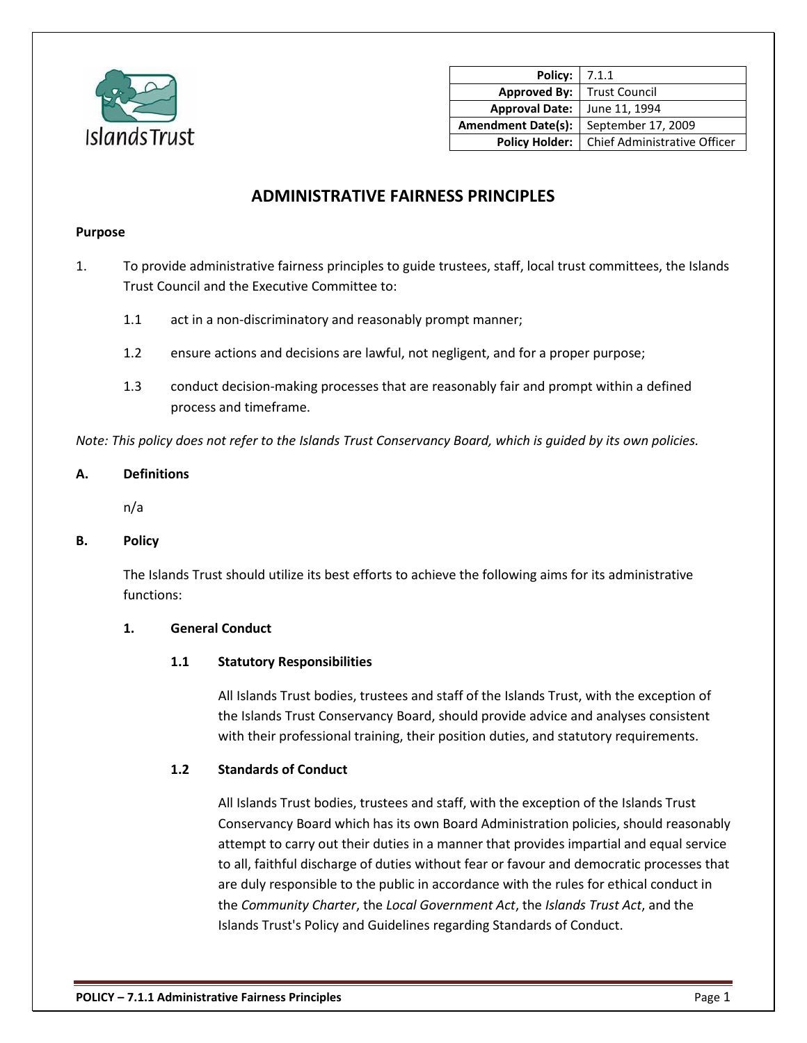

| <b>Policy:</b>   7.1.1    |                              |
|---------------------------|------------------------------|
| <b>Approved By:</b>       | <b>Trust Council</b>         |
| <b>Approval Date:</b>     | June 11, 1994                |
| <b>Amendment Date(s):</b> | September 17, 2009           |
| <b>Policy Holder:</b>     | Chief Administrative Officer |

# **ADMINISTRATIVE FAIRNESS PRINCIPLES**

### **Purpose**

- 1. To provide administrative fairness principles to guide trustees, staff, local trust committees, the Islands Trust Council and the Executive Committee to:
	- 1.1 act in a non-discriminatory and reasonably prompt manner;
	- 1.2 ensure actions and decisions are lawful, not negligent, and for a proper purpose;
	- 1.3 conduct decision-making processes that are reasonably fair and prompt within a defined process and timeframe.

*Note: This policy does not refer to the Islands Trust Conservancy Board, which is guided by its own policies.*

# **A. Definitions**

n/a

# **B. Policy**

The Islands Trust should utilize its best efforts to achieve the following aims for its administrative functions:

# **1. General Conduct**

# **1.1 Statutory Responsibilities**

All Islands Trust bodies, trustees and staff of the Islands Trust, with the exception of the Islands Trust Conservancy Board, should provide advice and analyses consistent with their professional training, their position duties, and statutory requirements.

# **1.2 Standards of Conduct**

All Islands Trust bodies, trustees and staff, with the exception of the Islands Trust Conservancy Board which has its own Board Administration policies, should reasonably attempt to carry out their duties in a manner that provides impartial and equal service to all, faithful discharge of duties without fear or favour and democratic processes that are duly responsible to the public in accordance with the rules for ethical conduct in the *Community Charter*, the *Local Government Act*, the *Islands Trust Act*, and the Islands Trust's Policy and Guidelines regarding Standards of Conduct.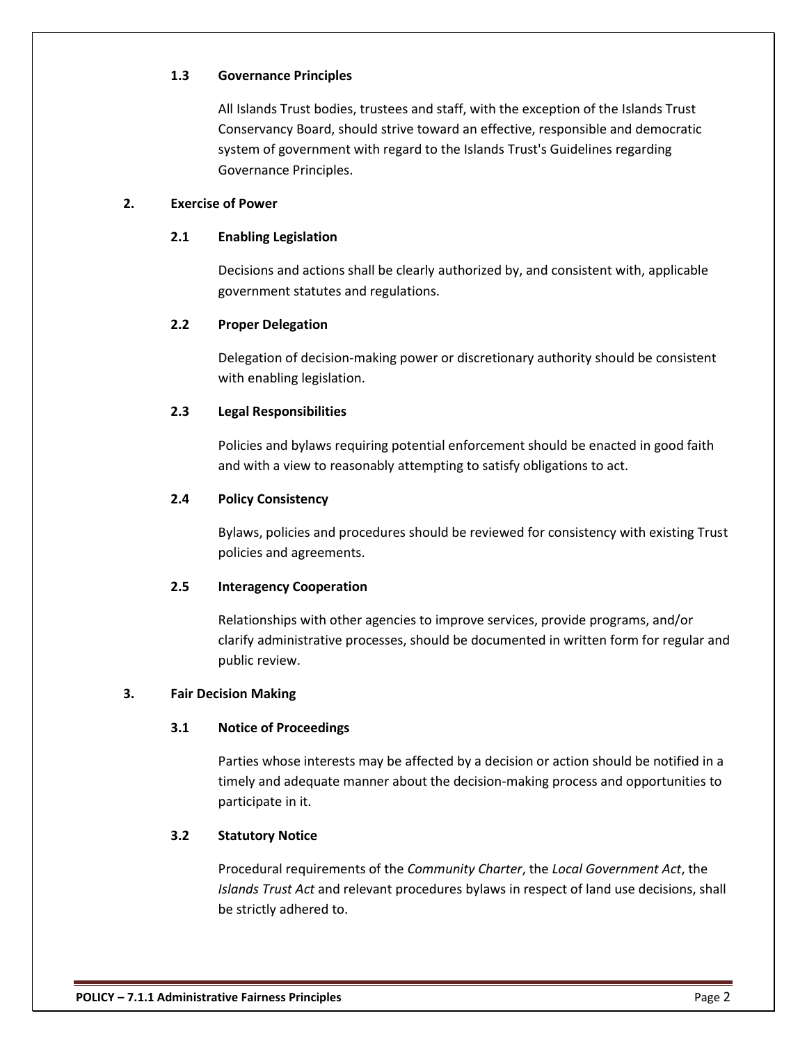### **1.3 Governance Principles**

All Islands Trust bodies, trustees and staff, with the exception of the Islands Trust Conservancy Board, should strive toward an effective, responsible and democratic system of government with regard to the Islands Trust's Guidelines regarding Governance Principles.

# **2. Exercise of Power**

#### **2.1 Enabling Legislation**

Decisions and actions shall be clearly authorized by, and consistent with, applicable government statutes and regulations.

### **2.2 Proper Delegation**

Delegation of decision-making power or discretionary authority should be consistent with enabling legislation.

# **2.3 Legal Responsibilities**

Policies and bylaws requiring potential enforcement should be enacted in good faith and with a view to reasonably attempting to satisfy obligations to act.

# **2.4 Policy Consistency**

Bylaws, policies and procedures should be reviewed for consistency with existing Trust policies and agreements.

# **2.5 Interagency Cooperation**

Relationships with other agencies to improve services, provide programs, and/or clarify administrative processes, should be documented in written form for regular and public review.

# **3. Fair Decision Making**

# **3.1 Notice of Proceedings**

Parties whose interests may be affected by a decision or action should be notified in a timely and adequate manner about the decision-making process and opportunities to participate in it.

# **3.2 Statutory Notice**

Procedural requirements of the *Community Charter*, the *Local Government Act*, the *Islands Trust Act* and relevant procedures bylaws in respect of land use decisions, shall be strictly adhered to.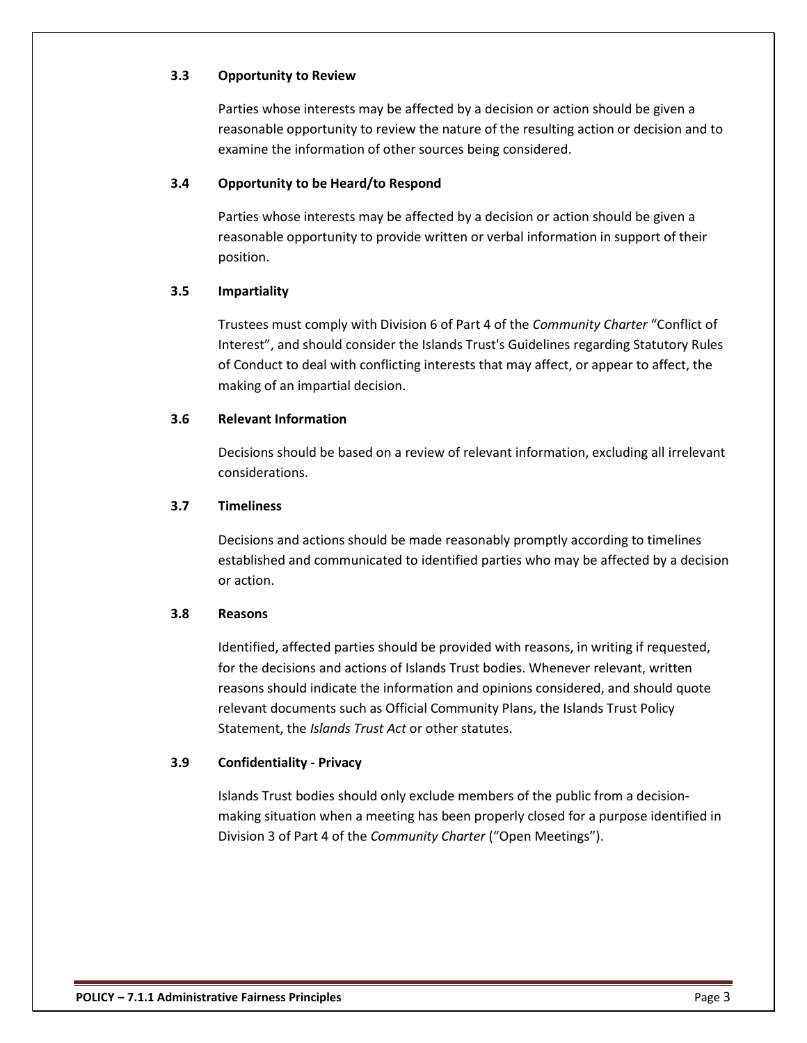# **3.3 Opportunity to Review**

Parties whose interests may be affected by a decision or action should be given a reasonable opportunity to review the nature of the resulting action or decision and to examine the information of other sources being considered.

# **3.4 Opportunity to be Heard/to Respond**

Parties whose interests may be affected by a decision or action should be given a reasonable opportunity to provide written or verbal information in support of their position.

## **3.5 Impartiality**

Trustees must comply with Division 6 of Part 4 of the *Community Charter* "Conflict of Interest", and should consider the Islands Trust's Guidelines regarding Statutory Rules of Conduct to deal with conflicting interests that may affect, or appear to affect, the making of an impartial decision.

### **3.6 Relevant Information**

Decisions should be based on a review of relevant information, excluding all irrelevant considerations.

### **3.7 Timeliness**

Decisions and actions should be made reasonably promptly according to timelines established and communicated to identified parties who may be affected by a decision or action.

#### **3.8 Reasons**

Identified, affected parties should be provided with reasons, in writing if requested, for the decisions and actions of Islands Trust bodies. Whenever relevant, written reasons should indicate the information and opinions considered, and should quote relevant documents such as Official Community Plans, the Islands Trust Policy Statement, the *Islands Trust Act* or other statutes.

#### **3.9 Confidentiality - Privacy**

Islands Trust bodies should only exclude members of the public from a decisionmaking situation when a meeting has been properly closed for a purpose identified in Division 3 of Part 4 of the *Community Charter* ("Open Meetings").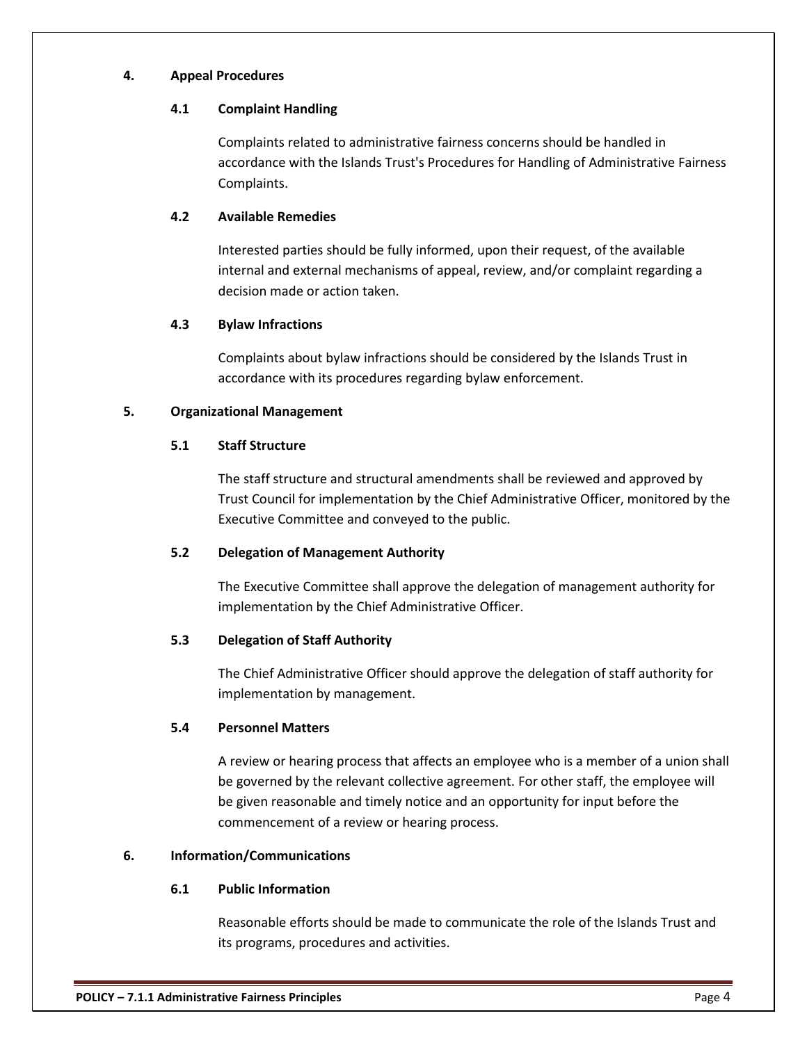### **4. Appeal Procedures**

### **4.1 Complaint Handling**

Complaints related to administrative fairness concerns should be handled in accordance with the Islands Trust's Procedures for Handling of Administrative Fairness Complaints.

# **4.2 Available Remedies**

Interested parties should be fully informed, upon their request, of the available internal and external mechanisms of appeal, review, and/or complaint regarding a decision made or action taken.

# **4.3 Bylaw Infractions**

Complaints about bylaw infractions should be considered by the Islands Trust in accordance with its procedures regarding bylaw enforcement.

# **5. Organizational Management**

# **5.1 Staff Structure**

The staff structure and structural amendments shall be reviewed and approved by Trust Council for implementation by the Chief Administrative Officer, monitored by the Executive Committee and conveyed to the public.

# **5.2 Delegation of Management Authority**

The Executive Committee shall approve the delegation of management authority for implementation by the Chief Administrative Officer.

# **5.3 Delegation of Staff Authority**

The Chief Administrative Officer should approve the delegation of staff authority for implementation by management.

# **5.4 Personnel Matters**

A review or hearing process that affects an employee who is a member of a union shall be governed by the relevant collective agreement. For other staff, the employee will be given reasonable and timely notice and an opportunity for input before the commencement of a review or hearing process.

# **6. Information/Communications**

# **6.1 Public Information**

Reasonable efforts should be made to communicate the role of the Islands Trust and its programs, procedures and activities.